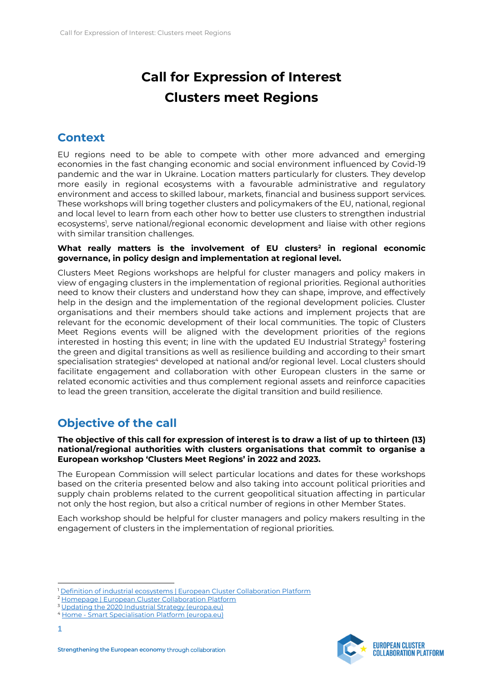# **Call for Expression of Interest Clusters meet Regions**

## **Context**

EU regions need to be able to compete with other more advanced and emerging economies in the fast changing economic and social environment influenced by Covid-19 pandemic and the war in Ukraine. Location matters particularly for clusters. They develop more easily in regional ecosystems with a favourable administrative and regulatory environment and access to skilled labour, markets, financial and business support services. These workshops will bring together clusters and policymakers of the EU, national, regional and local level to learn from each other how to better use clusters to strengthen industrial ecosystems<sup>1</sup>, serve national/regional economic development and liaise with other regions with similar transition challenges.

#### **What really matters is the involvement of EU clusters<sup>2</sup> in regional economic governance, in policy design and implementation at regional level.**

Clusters Meet Regions workshops are helpful for cluster managers and policy makers in view of engaging clusters in the implementation of regional priorities. Regional authorities need to know their clusters and understand how they can shape, improve, and effectively help in the design and the implementation of the regional development policies. Cluster organisations and their members should take actions and implement projects that are relevant for the economic development of their local communities. The topic of Clusters Meet Regions events will be aligned with the development priorities of the regions interested in hosting this event; in line with the updated EU Industrial Strategy<sup>3</sup> fostering the green and digital transitions as well as resilience building and according to their smart specialisation strategies<sup>4</sup> developed at national and/or regional level. Local clusters should facilitate engagement and collaboration with other European clusters in the same or related economic activities and thus complement regional assets and reinforce capacities to lead the green transition, accelerate the digital transition and build resilience.

# **Objective of the call**

**The objective of this call for expression of interest is to draw a list of up to thirteen (13) national/regional authorities with clusters organisations that commit to organise a European workshop 'Clusters Meet Regions' in 2022 and 2023.** 

The European Commission will select particular locations and dates for these workshops based on the criteria presented below and also taking into account political priorities and supply chain problems related to the current geopolitical situation affecting in particular not only the host region, but also a critical number of regions in other Member States.

Each workshop should be helpful for cluster managers and policy makers resulting in the engagement of clusters in the implementation of regional priorities.

**1**



<sup>&</sup>lt;sup>1</sup> [Definition of industrial ecosystems | European Cluster Collaboration Platform](https://clustercollaboration.eu/in-focus/industrial-ecosystems/definition)

<sup>&</sup>lt;sup>2</sup> [Homepage | European Cluster Collaboration Platform](https://clustercollaboration.eu/)

<sup>&</sup>lt;sup>3</sup> [Updating the 2020 Industrial Strategy \(europa.eu\)](https://ec.europa.eu/commission/presscorner/detail/en/ip_21_1884)

<sup>4</sup> Home - [Smart Specialisation Platform \(europa.eu\)](https://s3platform.jrc.ec.europa.eu/)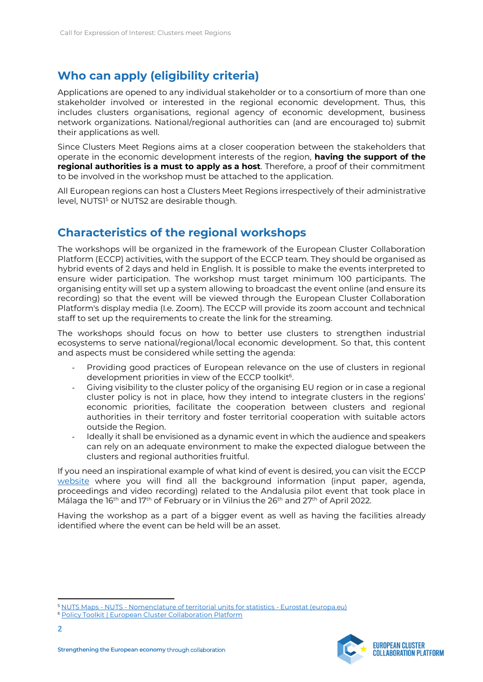# **Who can apply (eligibility criteria)**

Applications are opened to any individual stakeholder or to a consortium of more than one stakeholder involved or interested in the regional economic development. Thus, this includes clusters organisations, regional agency of economic development, business network organizations. National/regional authorities can (and are encouraged to) submit their applications as well.

Since Clusters Meet Regions aims at a closer cooperation between the stakeholders that operate in the economic development interests of the region, **having the support of the regional authorities is a must to apply as a host**. Therefore, a proof of their commitment to be involved in the workshop must be attached to the application.

All European regions can host a Clusters Meet Regions irrespectively of their administrative level, NUTS1<sup>5</sup> or NUTS2 are desirable though.

### **Characteristics of the regional workshops**

The workshops will be organized in the framework of the European Cluster Collaboration Platform (ECCP) activities, with the support of the ECCP team. They should be organised as hybrid events of 2 days and held in English. It is possible to make the events interpreted to ensure wider participation. The workshop must target minimum 100 participants. The organising entity will set up a system allowing to broadcast the event online (and ensure its recording) so that the event will be viewed through the European Cluster Collaboration Platform's display media (I.e. Zoom). The ECCP will provide its zoom account and technical staff to set up the requirements to create the link for the streaming.

The workshops should focus on how to better use clusters to strengthen industrial ecosystems to serve national/regional/local economic development. So that, this content and aspects must be considered while setting the agenda:

- Providing good practices of European relevance on the use of clusters in regional development priorities in view of the ECCP toolkit<sup>6</sup>.
- Giving visibility to the cluster policy of the organising EU region or in case a regional cluster policy is not in place, how they intend to integrate clusters in the regions' economic priorities, facilitate the cooperation between clusters and regional authorities in their territory and foster territorial cooperation with suitable actors outside the Region.
- Ideally it shall be envisioned as a dynamic event in which the audience and speakers can rely on an adequate environment to make the expected dialogue between the clusters and regional authorities fruitful.

If you need an inspirational example of what kind of event is desired, you can visit the ECCP [website](https://clustercollaboration.eu/events/organised-by-eccp/clusters-meet-regions) where you will find all the background information (input paper, agenda, proceedings and video recording) related to the Andalusia pilot event that took place in Málaga the 16<sup>th</sup> and 17<sup>th</sup> of February or in Vilnius the 26<sup>th</sup> and 27<sup>th</sup> of April 2022.

Having the workshop as a part of a bigger event as well as having the facilities already identified where the event can be held will be an asset.



<sup>5</sup> NUTS Maps - NUTS - [Nomenclature of territorial units for statistics -](https://ec.europa.eu/eurostat/web/nuts/nuts-maps) Eurostat (europa.eu)

<sup>6</sup> [Policy Toolkit | European Cluster Collaboration Platform](https://clustercollaboration.eu/policytoolkit)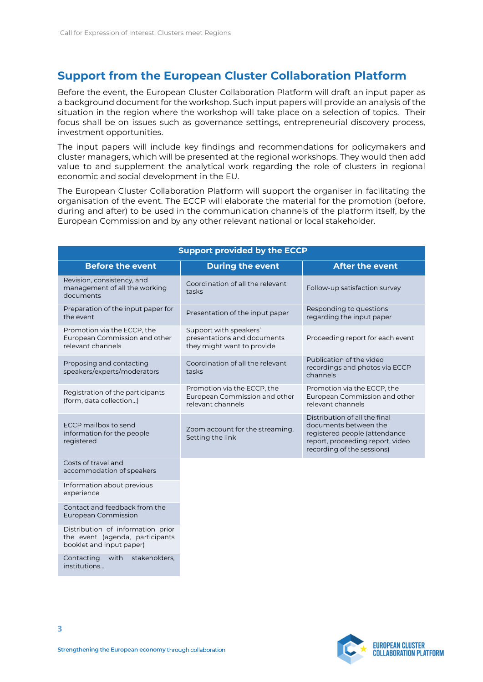#### **Support from the European Cluster Collaboration Platform**

Before the event, the European Cluster Collaboration Platform will draft an input paper as a background document for the workshop. Such input papers will provide an analysis of the situation in the region where the workshop will take place on a selection of topics. Their focus shall be on issues such as governance settings, entrepreneurial discovery process, investment opportunities.

The input papers will include key findings and recommendations for policymakers and cluster managers, which will be presented at the regional workshops. They would then add value to and supplement the analytical work regarding the role of clusters in regional economic and social development in the EU.

The European Cluster Collaboration Platform will support the organiser in facilitating the organisation of the event. The ECCP will elaborate the material for the promotion (before, during and after) to be used in the communication channels of the platform itself, by the European Commission and by any other relevant national or local stakeholder.

| <b>Support provided by the ECCP</b>                                                              |                                                                                     |                                                                                                                                                           |  |  |
|--------------------------------------------------------------------------------------------------|-------------------------------------------------------------------------------------|-----------------------------------------------------------------------------------------------------------------------------------------------------------|--|--|
| <b>Before the event</b>                                                                          | <b>During the event</b>                                                             | <b>After the event</b>                                                                                                                                    |  |  |
| Revision, consistency, and<br>management of all the working<br>documents                         | Coordination of all the relevant<br>tasks                                           | Follow-up satisfaction survey                                                                                                                             |  |  |
| Preparation of the input paper for<br>the event                                                  | Presentation of the input paper                                                     | Responding to questions<br>regarding the input paper                                                                                                      |  |  |
| Promotion via the ECCP, the<br>European Commission and other<br>relevant channels                | Support with speakers'<br>presentations and documents<br>they might want to provide | Proceeding report for each event                                                                                                                          |  |  |
| Proposing and contacting<br>speakers/experts/moderators                                          | Coordination of all the relevant<br>tasks                                           | Publication of the video<br>recordings and photos via ECCP<br>channels                                                                                    |  |  |
| Registration of the participants<br>(form, data collection)                                      | Promotion via the ECCP, the<br>European Commission and other<br>relevant channels   | Promotion via the ECCP, the<br>European Commission and other<br>relevant channels                                                                         |  |  |
| ECCP mailbox to send<br>information for the people<br>registered                                 | Zoom account for the streaming.<br>Setting the link                                 | Distribution of all the final<br>documents between the<br>registered people (attendance<br>report, proceeding report, video<br>recording of the sessions) |  |  |
| Costs of travel and<br>accommodation of speakers                                                 |                                                                                     |                                                                                                                                                           |  |  |
| Information about previous<br>experience                                                         |                                                                                     |                                                                                                                                                           |  |  |
| Contact and feedback from the<br>European Commission                                             |                                                                                     |                                                                                                                                                           |  |  |
| Distribution of information prior<br>the event (agenda, participants<br>booklet and input paper) |                                                                                     |                                                                                                                                                           |  |  |



Contacting with stakeholders,

institutions…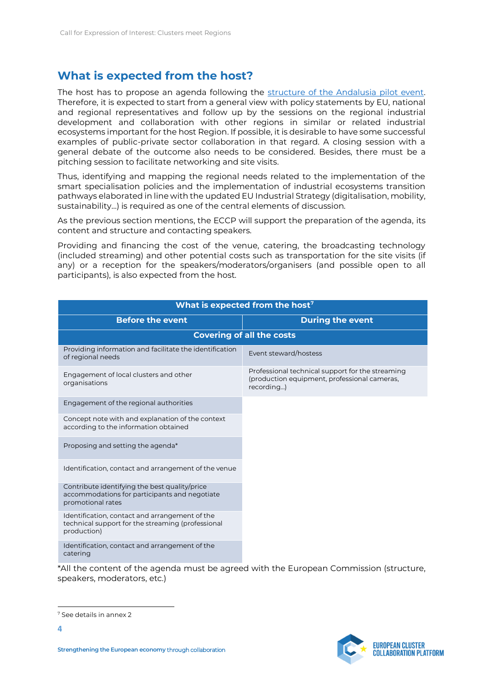#### **What is expected from the host?**

The host has to propose an agenda following the structure of the Andalusia pilot event. Therefore, it is expected to start from a general view with policy statements by EU, national and regional representatives and follow up by the sessions on the regional industrial development and collaboration with other regions in similar or related industrial ecosystems important for the host Region. If possible, it is desirable to have some successful examples of public-private sector collaboration in that regard. A closing session with a general debate of the outcome also needs to be considered. Besides, there must be a pitching session to facilitate networking and site visits.

Thus, identifying and mapping the regional needs related to the implementation of the smart specialisation policies and the implementation of industrial ecosystems transition pathways elaborated in line with the updated EU Industrial Strategy (digitalisation, mobility, sustainability…) is required as one of the central elements of discussion.

As the previous section mentions, the ECCP will support the preparation of the agenda, its content and structure and contacting speakers.

Providing and financing the cost of the venue, catering, the broadcasting technology (included streaming) and other potential costs such as transportation for the site visits (if any) or a reception for the speakers/moderators/organisers (and possible open to all participants), is also expected from the host.

| What is expected from the host <sup>7</sup>                                                                         |                                                                                                                |  |  |  |
|---------------------------------------------------------------------------------------------------------------------|----------------------------------------------------------------------------------------------------------------|--|--|--|
| <b>Before the event</b>                                                                                             | <b>During the event</b>                                                                                        |  |  |  |
| <b>Covering of all the costs</b>                                                                                    |                                                                                                                |  |  |  |
| Providing information and facilitate the identification<br>of regional needs                                        | Event steward/hostess                                                                                          |  |  |  |
| Engagement of local clusters and other<br>organisations                                                             | Professional technical support for the streaming<br>(production equipment, professional cameras,<br>recording) |  |  |  |
| Engagement of the regional authorities                                                                              |                                                                                                                |  |  |  |
| Concept note with and explanation of the context<br>according to the information obtained                           |                                                                                                                |  |  |  |
| Proposing and setting the agenda*                                                                                   |                                                                                                                |  |  |  |
| Identification, contact and arrangement of the venue                                                                |                                                                                                                |  |  |  |
| Contribute identifying the best quality/price<br>accommodations for participants and negotiate<br>promotional rates |                                                                                                                |  |  |  |
| Identification, contact and arrangement of the<br>technical support for the streaming (professional<br>production)  |                                                                                                                |  |  |  |
| Identification, contact and arrangement of the<br>catering                                                          |                                                                                                                |  |  |  |
| $*$ All the content of the agenda must be agreed with the European Commission (structure)                           |                                                                                                                |  |  |  |

\*All the content of the agenda must be agreed with the European Commission (structure, speakers, moderators, etc.)



<sup>7</sup> See details in annex 2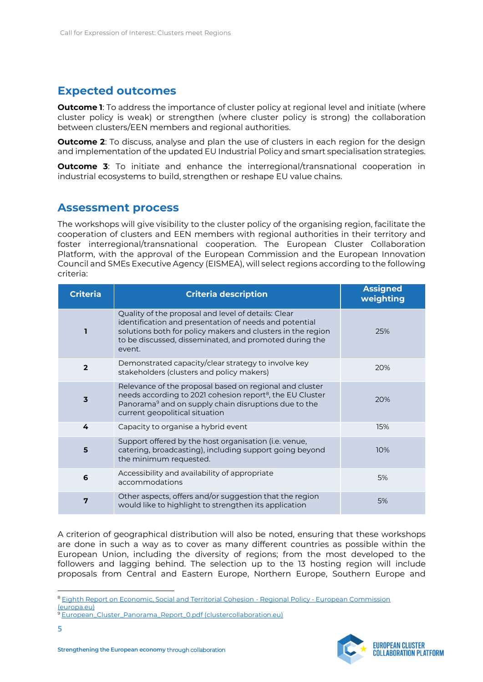#### **Expected outcomes**

**Outcome 1**: To address the importance of cluster policy at regional level and initiate (where cluster policy is weak) or strengthen (where cluster policy is strong) the collaboration between clusters/EEN members and regional authorities.

**Outcome 2:** To discuss, analyse and plan the use of clusters in each region for the design and implementation of the updated EU Industrial Policy and smart specialisation strategies.

**Outcome 3:** To initiate and enhance the interregional/transnational cooperation in industrial ecosystems to build, strengthen or reshape EU value chains.

#### **Assessment process**

The workshops will give visibility to the cluster policy of the organising region, facilitate the cooperation of clusters and EEN members with regional authorities in their territory and foster interregional/transnational cooperation. The European Cluster Collaboration Platform, with the approval of the European Commission and the European Innovation Council and SMEs Executive Agency (EISMEA), will select regions according to the following criteria:

| <b>Criteria</b>         | <b>Criteria description</b>                                                                                                                                                                                                                      | <b>Assigned</b><br>weighting |
|-------------------------|--------------------------------------------------------------------------------------------------------------------------------------------------------------------------------------------------------------------------------------------------|------------------------------|
| п                       | Quality of the proposal and level of details: Clear<br>identification and presentation of needs and potential<br>solutions both for policy makers and clusters in the region<br>to be discussed, disseminated, and promoted during the<br>event. | 25%                          |
| $\overline{2}$          | Demonstrated capacity/clear strategy to involve key<br>stakeholders (clusters and policy makers)                                                                                                                                                 | 20%                          |
| $\overline{\mathbf{3}}$ | Relevance of the proposal based on regional and cluster<br>needs according to 2021 cohesion report <sup>8</sup> , the EU Cluster<br>Panorama <sup>9</sup> and on supply chain disruptions due to the<br>current geopolitical situation           | 20%                          |
| 4                       | Capacity to organise a hybrid event                                                                                                                                                                                                              | 15%                          |
| 5                       | Support offered by the host organisation (i.e. venue,<br>catering, broadcasting), including support going beyond<br>the minimum requested.                                                                                                       | 10%                          |
| 6                       | Accessibility and availability of appropriate<br>accommodations                                                                                                                                                                                  | 5%                           |
| 7                       | Other aspects, offers and/or suggestion that the region<br>would like to highlight to strengthen its application                                                                                                                                 | 5%                           |

A criterion of geographical distribution will also be noted, ensuring that these workshops are done in such a way as to cover as many different countries as possible within the European Union, including the diversity of regions; from the most developed to the followers and lagging behind. The selection up to the 13 hosting region will include proposals from Central and Eastern Europe, Northern Europe, Southern Europe and



<sup>8</sup> [Eighth Report on Economic, Social and Territorial Cohesion -](https://ec.europa.eu/regional_policy/en/information/cohesion-report/) Regional Policy - European Commission [\(europa.eu\)](https://ec.europa.eu/regional_policy/en/information/cohesion-report/)

<sup>9</sup> [European\\_Cluster\\_Panorama\\_Report\\_0.pdf \(clustercollaboration.eu\)](https://clustercollaboration.eu/sites/default/files/2021-12/European_Cluster_Panorama_Report_0.pdf)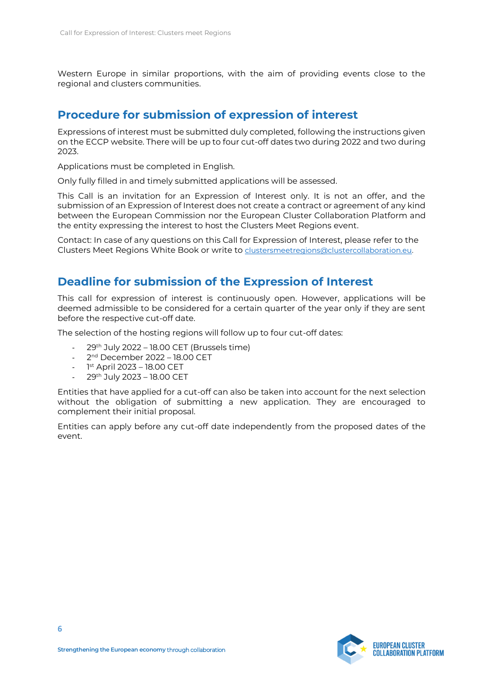Western Europe in similar proportions, with the aim of providing events close to the regional and clusters communities.

#### **Procedure for submission of expression of interest**

Expressions of interest must be submitted duly completed, following the instructions given on the ECCP website. There will be up to four cut-off dates two during 2022 and two during 2023.

Applications must be completed in English.

Only fully filled in and timely submitted applications will be assessed.

This Call is an invitation for an Expression of Interest only. It is not an offer, and the submission of an Expression of Interest does not create a contract or agreement of any kind between the European Commission nor the European Cluster Collaboration Platform and the entity expressing the interest to host the Clusters Meet Regions event.

Contact: In case of any questions on this Call for Expression of Interest, please refer to the Clusters Meet Regions White Book or write to [clustersmeetregions@clustercollaboration.eu.](mailto:clustersmeetregions@clustercollaboration.eu)

#### **Deadline for submission of the Expression of Interest**

This call for expression of interest is continuously open. However, applications will be deemed admissible to be considered for a certain quarter of the year only if they are sent before the respective cut-off date.

The selection of the hosting regions will follow up to four cut-off dates:

- $29<sup>th</sup>$  July 2022 18.00 CET (Brussels time)
- 2<sup>nd</sup> December 2022 18.00 CET
- 1st April 2023 18.00 CET
- 29th July 2023 18.00 CET

Entities that have applied for a cut-off can also be taken into account for the next selection without the obligation of submitting a new application. They are encouraged to complement their initial proposal.

Entities can apply before any cut-off date independently from the proposed dates of the event.